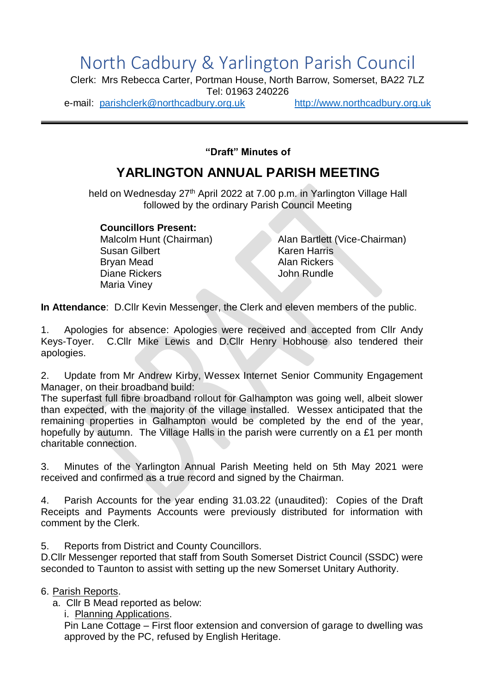## North Cadbury & Yarlington Parish Council

Clerk: Mrs Rebecca Carter, Portman House, North Barrow, Somerset, BA22 7LZ Tel: 01963 240226

e-mail: [parishclerk@northcadbury.org.uk](mailto:parishclerk@northcadbury.org.uk) [http://www.northcadbury.org.uk](http://www.northcadbury.org.uk/)

**"Draft" Minutes of**

## **YARLINGTON ANNUAL PARISH MEETING**

held on Wednesday 27<sup>th</sup> April 2022 at 7.00 p.m. in Yarlington Village Hall followed by the ordinary Parish Council Meeting

**Councillors Present:**

Susan Gilbert Karen Harris Bryan Mead Alan Rickers Diane Rickers John Rundle Maria Viney

Malcolm Hunt (Chairman) Alan Bartlett (Vice-Chairman)

**In Attendance**: D.Cllr Kevin Messenger, the Clerk and eleven members of the public.

1. Apologies for absence: Apologies were received and accepted from Cllr Andy Keys-Toyer. C.Cllr Mike Lewis and D.Cllr Henry Hobhouse also tendered their apologies.

2. Update from Mr Andrew Kirby, Wessex Internet Senior Community Engagement Manager, on their broadband build:

The superfast full fibre broadband rollout for Galhampton was going well, albeit slower than expected, with the majority of the village installed. Wessex anticipated that the remaining properties in Galhampton would be completed by the end of the year, hopefully by autumn. The Village Halls in the parish were currently on a £1 per month charitable connection.

3. Minutes of the Yarlington Annual Parish Meeting held on 5th May 2021 were received and confirmed as a true record and signed by the Chairman.

4. Parish Accounts for the year ending 31.03.22 (unaudited): Copies of the Draft Receipts and Payments Accounts were previously distributed for information with comment by the Clerk.

5. Reports from District and County Councillors.

D.Cllr Messenger reported that staff from South Somerset District Council (SSDC) were seconded to Taunton to assist with setting up the new Somerset Unitary Authority.

6. Parish Reports.

a. Cllr B Mead reported as below:

i. Planning Applications.

Pin Lane Cottage – First floor extension and conversion of garage to dwelling was approved by the PC, refused by English Heritage.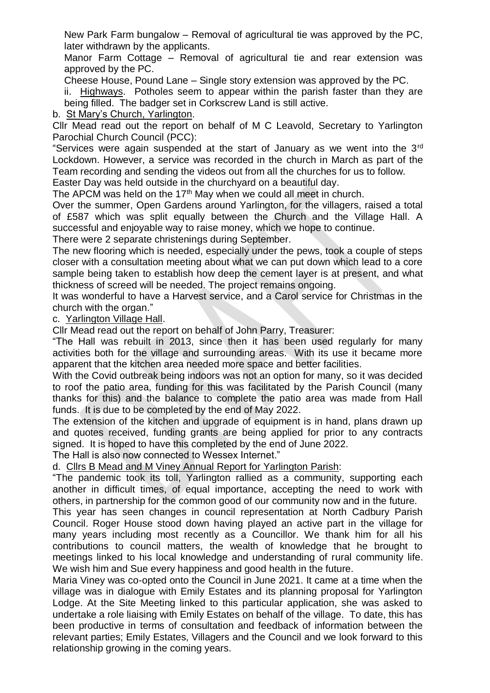New Park Farm bungalow – Removal of agricultural tie was approved by the PC, later withdrawn by the applicants.

Manor Farm Cottage – Removal of agricultural tie and rear extension was approved by the PC.

Cheese House, Pound Lane – Single story extension was approved by the PC.

ii. Highways. Potholes seem to appear within the parish faster than they are being filled. The badger set in Corkscrew Land is still active.

b. St Mary's Church, Yarlington.

Cllr Mead read out the report on behalf of M C Leavold, Secretary to Yarlington Parochial Church Council (PCC):

"Services were again suspended at the start of January as we went into the 3rd Lockdown. However, a service was recorded in the church in March as part of the Team recording and sending the videos out from all the churches for us to follow.

Easter Day was held outside in the churchyard on a beautiful day.

The APCM was held on the 17<sup>th</sup> May when we could all meet in church.

Over the summer, Open Gardens around Yarlington, for the villagers, raised a total of £587 which was split equally between the Church and the Village Hall. A successful and enjoyable way to raise money, which we hope to continue.

There were 2 separate christenings during September.

The new flooring which is needed, especially under the pews, took a couple of steps closer with a consultation meeting about what we can put down which lead to a core sample being taken to establish how deep the cement layer is at present, and what thickness of screed will be needed. The project remains ongoing.

It was wonderful to have a Harvest service, and a Carol service for Christmas in the church with the organ."

c. Yarlington Village Hall.

Cllr Mead read out the report on behalf of John Parry, Treasurer:

"The Hall was rebuilt in 2013, since then it has been used regularly for many activities both for the village and surrounding areas. With its use it became more apparent that the kitchen area needed more space and better facilities.

With the Covid outbreak being indoors was not an option for many, so it was decided to roof the patio area, funding for this was facilitated by the Parish Council (many thanks for this) and the balance to complete the patio area was made from Hall funds. It is due to be completed by the end of May 2022.

The extension of the kitchen and upgrade of equipment is in hand, plans drawn up and quotes received, funding grants are being applied for prior to any contracts signed. It is hoped to have this completed by the end of June 2022.

The Hall is also now connected to Wessex Internet."

d. Cllrs B Mead and M Viney Annual Report for Yarlington Parish:

"The pandemic took its toll, Yarlington rallied as a community, supporting each another in difficult times, of equal importance, accepting the need to work with others, in partnership for the common good of our community now and in the future.

This year has seen changes in council representation at North Cadbury Parish Council. Roger House stood down having played an active part in the village for many years including most recently as a Councillor. We thank him for all his contributions to council matters, the wealth of knowledge that he brought to meetings linked to his local knowledge and understanding of rural community life. We wish him and Sue every happiness and good health in the future.

Maria Viney was co-opted onto the Council in June 2021. It came at a time when the village was in dialogue with Emily Estates and its planning proposal for Yarlington Lodge. At the Site Meeting linked to this particular application, she was asked to undertake a role liaising with Emily Estates on behalf of the village. To date, this has been productive in terms of consultation and feedback of information between the relevant parties; Emily Estates, Villagers and the Council and we look forward to this relationship growing in the coming years.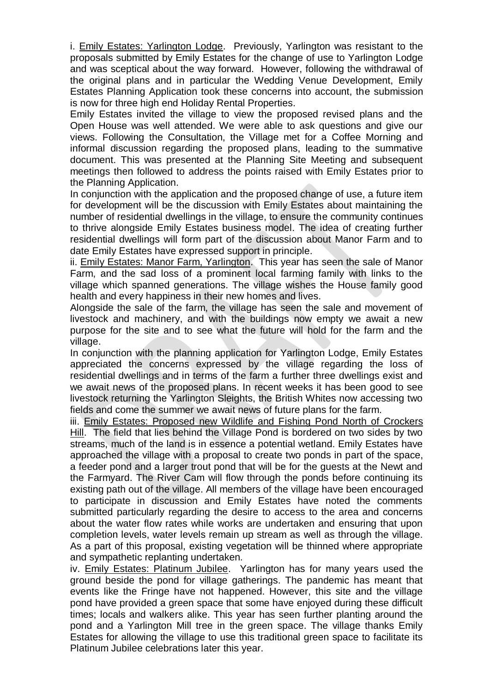i. Emily Estates: Yarlington Lodge. Previously, Yarlington was resistant to the proposals submitted by Emily Estates for the change of use to Yarlington Lodge and was sceptical about the way forward. However, following the withdrawal of the original plans and in particular the Wedding Venue Development, Emily Estates Planning Application took these concerns into account, the submission is now for three high end Holiday Rental Properties.

Emily Estates invited the village to view the proposed revised plans and the Open House was well attended. We were able to ask questions and give our views. Following the Consultation, the Village met for a Coffee Morning and informal discussion regarding the proposed plans, leading to the summative document. This was presented at the Planning Site Meeting and subsequent meetings then followed to address the points raised with Emily Estates prior to the Planning Application.

In conjunction with the application and the proposed change of use, a future item for development will be the discussion with Emily Estates about maintaining the number of residential dwellings in the village, to ensure the community continues to thrive alongside Emily Estates business model. The idea of creating further residential dwellings will form part of the discussion about Manor Farm and to date Emily Estates have expressed support in principle.

ii. Emily Estates: Manor Farm, Yarlington. This year has seen the sale of Manor Farm, and the sad loss of a prominent local farming family with links to the village which spanned generations. The village wishes the House family good health and every happiness in their new homes and lives.

Alongside the sale of the farm, the village has seen the sale and movement of livestock and machinery, and with the buildings now empty we await a new purpose for the site and to see what the future will hold for the farm and the village.

In conjunction with the planning application for Yarlington Lodge, Emily Estates appreciated the concerns expressed by the village regarding the loss of residential dwellings and in terms of the farm a further three dwellings exist and we await news of the proposed plans. In recent weeks it has been good to see livestock returning the Yarlington Sleights, the British Whites now accessing two fields and come the summer we await news of future plans for the farm.

iii. Emily Estates: Proposed new Wildlife and Fishing Pond North of Crockers Hill. The field that lies behind the Village Pond is bordered on two sides by two streams, much of the land is in essence a potential wetland. Emily Estates have approached the village with a proposal to create two ponds in part of the space, a feeder pond and a larger trout pond that will be for the guests at the Newt and the Farmyard. The River Cam will flow through the ponds before continuing its existing path out of the village. All members of the village have been encouraged to participate in discussion and Emily Estates have noted the comments submitted particularly regarding the desire to access to the area and concerns about the water flow rates while works are undertaken and ensuring that upon completion levels, water levels remain up stream as well as through the village. As a part of this proposal, existing vegetation will be thinned where appropriate and sympathetic replanting undertaken.

iv. Emily Estates: Platinum Jubilee. Yarlington has for many years used the ground beside the pond for village gatherings. The pandemic has meant that events like the Fringe have not happened. However, this site and the village pond have provided a green space that some have enjoyed during these difficult times; locals and walkers alike. This year has seen further planting around the pond and a Yarlington Mill tree in the green space. The village thanks Emily Estates for allowing the village to use this traditional green space to facilitate its Platinum Jubilee celebrations later this year.